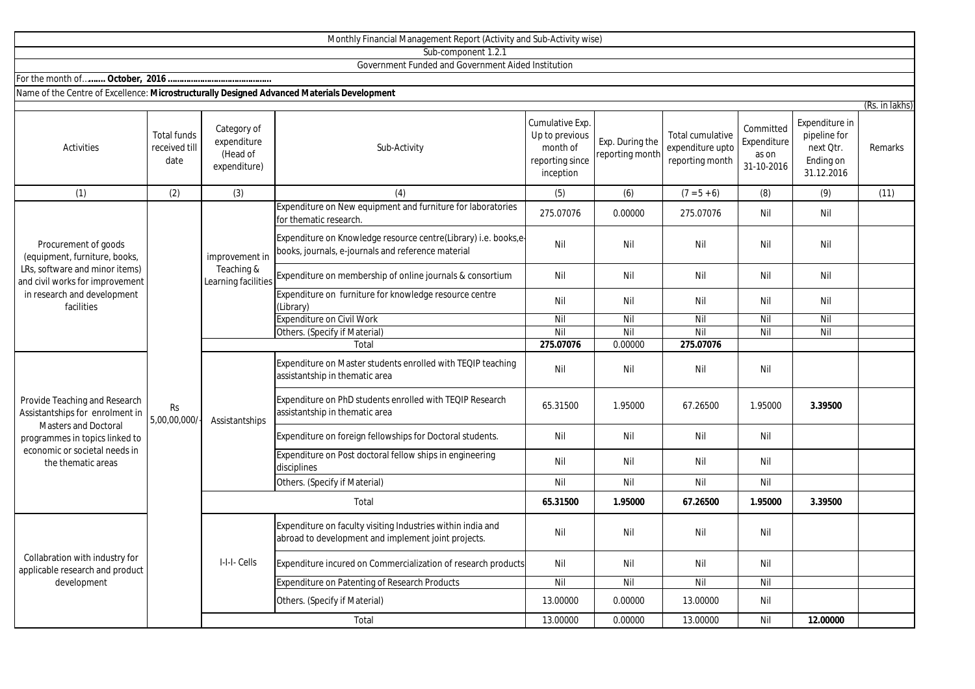|                                                                                                                                                                                          |                                             |                                                        | Sub-component 1.2.1                                                                                                   |                                                                               |                                   |                                                         |                                                 |                                                                        |                           |
|------------------------------------------------------------------------------------------------------------------------------------------------------------------------------------------|---------------------------------------------|--------------------------------------------------------|-----------------------------------------------------------------------------------------------------------------------|-------------------------------------------------------------------------------|-----------------------------------|---------------------------------------------------------|-------------------------------------------------|------------------------------------------------------------------------|---------------------------|
|                                                                                                                                                                                          |                                             |                                                        | Government Funded and Government Aided Institution                                                                    |                                                                               |                                   |                                                         |                                                 |                                                                        |                           |
|                                                                                                                                                                                          |                                             |                                                        |                                                                                                                       |                                                                               |                                   |                                                         |                                                 |                                                                        |                           |
| Name of the Centre of Excellence: Microstructurally Designed Advanced Materials Development                                                                                              |                                             |                                                        |                                                                                                                       |                                                                               |                                   |                                                         |                                                 |                                                                        |                           |
| Activities                                                                                                                                                                               | <b>Total funds</b><br>received till<br>date | Category of<br>expenditure<br>(Head of<br>expenditure) | Sub-Activity                                                                                                          | Cumulative Exp.<br>Up to previous<br>month of<br>reporting since<br>inception | Exp. During the<br>eporting month | Total cumulative<br>expenditure upto<br>reporting month | Committed<br>Expenditure<br>as on<br>31-10-2016 | Expenditure in<br>pipeline for<br>next Otr.<br>Ending on<br>31.12.2016 | (Rs. in lakhs)<br>Remarks |
| (1)                                                                                                                                                                                      | (2)                                         | (3)                                                    | (4)                                                                                                                   | (5)                                                                           | (6)                               | $(7 = 5 + 6)$                                           | (8)                                             | (9)                                                                    | (11)                      |
| Procurement of goods<br>(equipment, furniture, books,<br>LRs, software and minor items)<br>and civil works for improvement<br>in research and development<br>facilities                  | <b>Rs</b><br>5,00,00,000/                   | improvement in<br>Teaching &<br>Learning facilities    | Expenditure on New equipment and furniture for laboratories<br>for thematic research.                                 | 275.07076                                                                     | 0.00000                           | 275.07076                                               | Nil                                             | Nil                                                                    |                           |
|                                                                                                                                                                                          |                                             |                                                        | Expenditure on Knowledge resource centre(Library) i.e. books,e-<br>books, journals, e-journals and reference material | Nil                                                                           | Nil                               | Nil                                                     | Nil                                             | Nil                                                                    |                           |
|                                                                                                                                                                                          |                                             |                                                        | Expenditure on membership of online journals & consortium                                                             | Nil                                                                           | Nil                               | Nil                                                     | Nil                                             | Nil                                                                    |                           |
|                                                                                                                                                                                          |                                             |                                                        | Expenditure on furniture for knowledge resource centre<br>(Library)                                                   | Nil                                                                           | Nil                               | Nil                                                     | Nil                                             | Nil                                                                    |                           |
|                                                                                                                                                                                          |                                             |                                                        | <b>Expenditure on Civil Work</b>                                                                                      | Nil                                                                           | Nil                               | Nil                                                     | Nil                                             | Nil                                                                    |                           |
|                                                                                                                                                                                          |                                             |                                                        | Others. (Specify if Material)                                                                                         | Nil                                                                           | Nil                               | Nil                                                     | Nil                                             | Nil                                                                    |                           |
|                                                                                                                                                                                          |                                             |                                                        | Total                                                                                                                 | 275.07076                                                                     | 0.00000                           | 275.07076                                               |                                                 |                                                                        |                           |
| Provide Teaching and Research<br>Assistantships for enrolment in<br><b>Masters and Doctoral</b><br>programmes in topics linked to<br>economic or societal needs in<br>the thematic areas |                                             | Assistantships                                         | Expenditure on Master students enrolled with TEQIP teaching<br>assistantship in thematic area                         | Nil                                                                           | Nil                               | Nil                                                     | Nil                                             |                                                                        |                           |
|                                                                                                                                                                                          |                                             |                                                        | Expenditure on PhD students enrolled with TEQIP Research<br>assistantship in thematic area                            | 65.31500                                                                      | 1.95000                           | 67.26500                                                | 1.95000                                         | 3.39500                                                                |                           |
|                                                                                                                                                                                          |                                             |                                                        | Expenditure on foreign fellowships for Doctoral students.                                                             | Nil                                                                           | Nil                               | Nil                                                     | Nil                                             |                                                                        |                           |
|                                                                                                                                                                                          |                                             |                                                        | Expenditure on Post doctoral fellow ships in engineering<br>disciplines                                               | Nil                                                                           | Nil                               | Nil                                                     | Nil                                             |                                                                        |                           |
|                                                                                                                                                                                          |                                             |                                                        | Others. (Specify if Material)                                                                                         | Nil                                                                           | Nil                               | Nil                                                     | Nil                                             |                                                                        |                           |
|                                                                                                                                                                                          |                                             | Total                                                  |                                                                                                                       | 65.31500                                                                      | 1.95000                           | 67.26500                                                | 1.95000                                         | 3.39500                                                                |                           |
| Collabration with industry for<br>applicable research and product<br>development                                                                                                         |                                             | I-I-I- Cells                                           | Expenditure on faculty visiting Industries within india and<br>abroad to development and implement joint projects.    | Nil                                                                           | Nil                               | Nil                                                     | Nil                                             |                                                                        |                           |
|                                                                                                                                                                                          |                                             |                                                        | Expenditure incured on Commercialization of research products                                                         | Nil                                                                           | Nil                               | Nil                                                     | Nil                                             |                                                                        |                           |
|                                                                                                                                                                                          |                                             |                                                        | Expenditure on Patenting of Research Products                                                                         | Nil                                                                           | Nil                               | Nil                                                     | Nil                                             |                                                                        |                           |
|                                                                                                                                                                                          |                                             |                                                        | Others. (Specify if Material)                                                                                         | 13.00000                                                                      | 0.00000                           | 13.00000                                                | Nil                                             |                                                                        |                           |

Monthly Financial Management Report (Activity and Sub-Activity wise)

Total

13.00000 0.00000 13.00000 Nil **12.00000**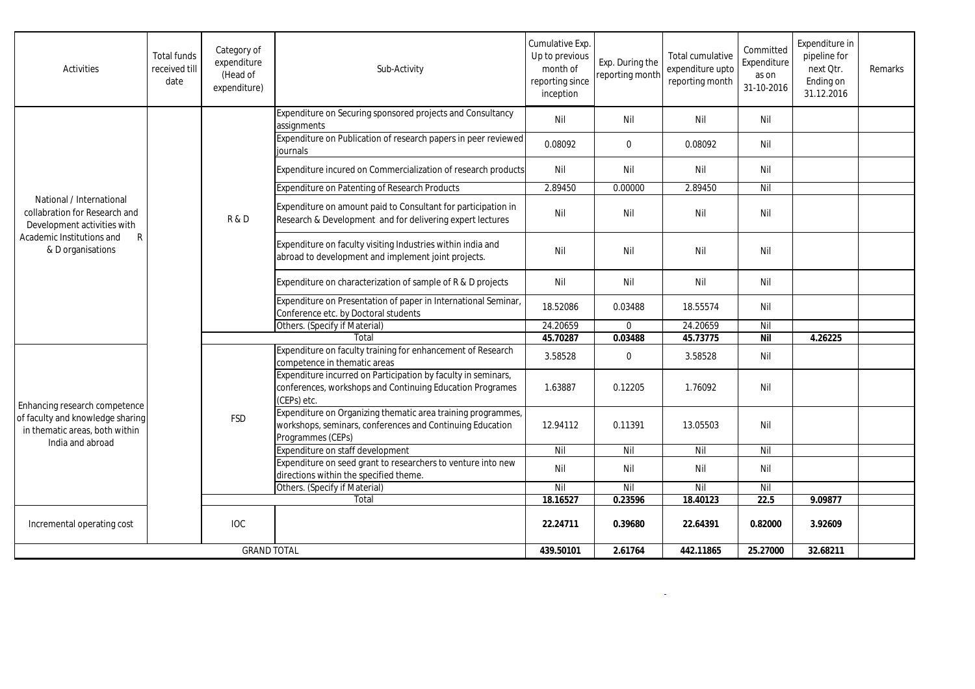| Activities                                                                                                                                                 | <b>Total funds</b><br>received till<br>date | Category of<br>expenditure<br>(Head of<br>expenditure) | Sub-Activity                                                                                                                                   | Cumulative Exp.<br>Up to previous<br>month of<br>reporting since<br>inception | Exp. During the<br>reporting month | Total cumulative<br>expenditure upto<br>reporting month | Committed<br>Expenditure<br>as on<br>31-10-2016 | Expenditure in<br>pipeline for<br>next Qtr.<br>Ending on<br>31.12.2016 | Remarks |
|------------------------------------------------------------------------------------------------------------------------------------------------------------|---------------------------------------------|--------------------------------------------------------|------------------------------------------------------------------------------------------------------------------------------------------------|-------------------------------------------------------------------------------|------------------------------------|---------------------------------------------------------|-------------------------------------------------|------------------------------------------------------------------------|---------|
| National / International<br>collabration for Research and<br>Development activities with<br>$\mathsf{R}$<br>Academic Institutions and<br>& D organisations |                                             | R&D                                                    | Expenditure on Securing sponsored projects and Consultancy<br>assignments                                                                      | Nil                                                                           | Nil                                | Nil                                                     | Nil                                             |                                                                        |         |
|                                                                                                                                                            |                                             |                                                        | Expenditure on Publication of research papers in peer reviewed<br>iournals                                                                     | 0.08092                                                                       | $\mathbf 0$                        | 0.08092                                                 | Nil                                             |                                                                        |         |
|                                                                                                                                                            |                                             |                                                        | Expenditure incured on Commercialization of research products                                                                                  | Nil                                                                           | Nil                                | Nil                                                     | Nil                                             |                                                                        |         |
|                                                                                                                                                            |                                             |                                                        | Expenditure on Patenting of Research Products                                                                                                  | 2.89450                                                                       | 0.00000                            | 2.89450                                                 | Nil                                             |                                                                        |         |
|                                                                                                                                                            |                                             |                                                        | Expenditure on amount paid to Consultant for participation in<br>Research & Development and for delivering expert lectures                     | Nil                                                                           | Nil                                | Nil                                                     | Nil                                             |                                                                        |         |
|                                                                                                                                                            |                                             |                                                        | Expenditure on faculty visiting Industries within india and<br>abroad to development and implement joint projects.                             | Nil                                                                           | Nil                                | Nil                                                     | Nil                                             |                                                                        |         |
|                                                                                                                                                            |                                             |                                                        | Expenditure on characterization of sample of R & D projects                                                                                    | Nil                                                                           | Nil                                | Nil                                                     | Nil                                             |                                                                        |         |
|                                                                                                                                                            |                                             |                                                        | Expenditure on Presentation of paper in International Seminar,<br>Conference etc. by Doctoral students                                         | 18.52086                                                                      | 0.03488                            | 18.55574                                                | Nil                                             |                                                                        |         |
|                                                                                                                                                            |                                             |                                                        | Others. (Specify if Material)                                                                                                                  | 24.20659                                                                      | $\Omega$                           | 24.20659                                                | Nil                                             |                                                                        |         |
|                                                                                                                                                            |                                             |                                                        | Total                                                                                                                                          | 45.70287                                                                      | 0.03488                            | 45.73775                                                | <b>Nil</b>                                      | 4.26225                                                                |         |
| Enhancing research competence<br>of faculty and knowledge sharing<br>in thematic areas, both within<br>India and abroad                                    |                                             | <b>FSD</b>                                             | Expenditure on faculty training for enhancement of Research<br>competence in thematic areas                                                    | 3.58528                                                                       | $\mathbf{0}$                       | 3.58528                                                 | Nil                                             |                                                                        |         |
|                                                                                                                                                            |                                             |                                                        | Expenditure incurred on Participation by faculty in seminars,<br>conferences, workshops and Continuing Education Programes<br>(CEPs) etc.      | 1.63887                                                                       | 0.12205                            | 1.76092                                                 | Nil                                             |                                                                        |         |
|                                                                                                                                                            |                                             |                                                        | Expenditure on Organizing thematic area training programmes,<br>workshops, seminars, conferences and Continuing Education<br>Programmes (CEPs) | 12.94112                                                                      | 0.11391                            | 13.05503                                                | Nil                                             |                                                                        |         |
|                                                                                                                                                            |                                             |                                                        | Expenditure on staff development                                                                                                               | Nil                                                                           | Nil                                | Nil                                                     | $\overline{N}$                                  |                                                                        |         |
|                                                                                                                                                            |                                             |                                                        | Expenditure on seed grant to researchers to venture into new<br>directions within the specified theme.                                         | Nil                                                                           | Nil                                | Nil                                                     | Nil                                             |                                                                        |         |
|                                                                                                                                                            |                                             |                                                        | Others. (Specify if Material)                                                                                                                  | Nil                                                                           | Nil                                | Nil                                                     | Nil                                             |                                                                        |         |
|                                                                                                                                                            |                                             |                                                        | Total                                                                                                                                          | 18.16527                                                                      | 0.23596                            | 18.40123                                                | 22.5                                            | 9.09877                                                                |         |
| Incremental operating cost                                                                                                                                 |                                             | <b>IOC</b>                                             |                                                                                                                                                | 22.24711                                                                      | 0.39680                            | 22.64391                                                | 0.82000                                         | 3.92609                                                                |         |
| <b>GRAND TOTAL</b>                                                                                                                                         |                                             |                                                        | 439.50101                                                                                                                                      | 2.61764                                                                       | 442.11865                          | 25.27000                                                | 32.68211                                        |                                                                        |         |

and the state of the state of the